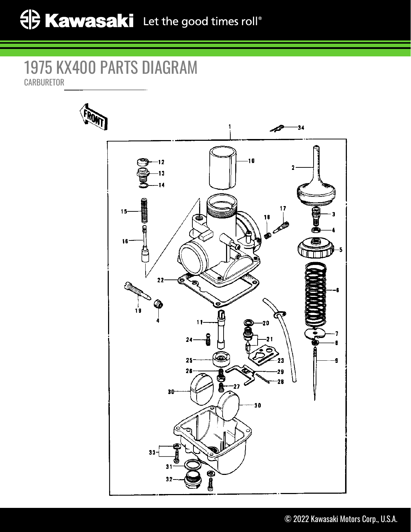## 1975 KX400 PARTS DIAGRAM **CARBURETOR**

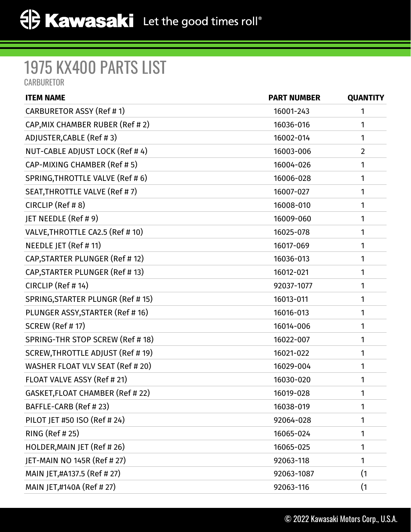## 1975 KX400 PARTS LIST **CARBURETOR**

| <b>ITEM NAME</b>                  | <b>PART NUMBER</b> | <b>QUANTITY</b> |
|-----------------------------------|--------------------|-----------------|
| CARBURETOR ASSY (Ref # 1)         | 16001-243          | 1               |
| CAP, MIX CHAMBER RUBER (Ref # 2)  | 16036-016          | 1               |
| ADJUSTER, CABLE (Ref #3)          | 16002-014          | 1               |
| NUT-CABLE ADJUST LOCK (Ref #4)    | 16003-006          | $\overline{2}$  |
| CAP-MIXING CHAMBER (Ref # 5)      | 16004-026          | 1               |
| SPRING, THROTTLE VALVE (Ref #6)   | 16006-028          | 1               |
| SEAT, THROTTLE VALVE (Ref #7)     | 16007-027          | 1               |
| CIRCLIP (Ref # 8)                 | 16008-010          | 1               |
| JET NEEDLE (Ref # 9)              | 16009-060          | 1               |
| VALVE, THROTTLE CA2.5 (Ref # 10)  | 16025-078          | 1               |
| NEEDLE JET (Ref # 11)             | 16017-069          | 1               |
| CAP, STARTER PLUNGER (Ref # 12)   | 16036-013          | 1               |
| CAP, STARTER PLUNGER (Ref # 13)   | 16012-021          | 1               |
| CIRCLIP (Ref #14)                 | 92037-1077         | 1               |
| SPRING, STARTER PLUNGR (Ref # 15) | 16013-011          | 1               |
| PLUNGER ASSY, STARTER (Ref # 16)  | 16016-013          | 1               |
| <b>SCREW (Ref #17)</b>            | 16014-006          | 1               |
| SPRING-THR STOP SCREW (Ref # 18)  | 16022-007          | 1               |
| SCREW, THROTTLE ADJUST (Ref # 19) | 16021-022          | 1               |
| WASHER FLOAT VLV SEAT (Ref # 20)  | 16029-004          | 1               |
| FLOAT VALVE ASSY (Ref # 21)       | 16030-020          | 1               |
| GASKET, FLOAT CHAMBER (Ref # 22)  | 16019-028          | $\mathbf{1}$    |
| BAFFLE-CARB (Ref # 23)            | 16038-019          | 1               |
| PILOT JET #50 ISO (Ref # 24)      | 92064-028          | 1               |
| RING (Ref # 25)                   | 16065-024          | 1               |
| HOLDER, MAIN JET (Ref #26)        | 16065-025          | 1               |
| JET-MAIN NO 145R (Ref # 27)       | 92063-118          | 1               |
| MAIN JET,#A137.5 (Ref # 27)       | 92063-1087         | (1)             |
| MAIN JET,#140A (Ref # 27)         | 92063-116          | (1)             |